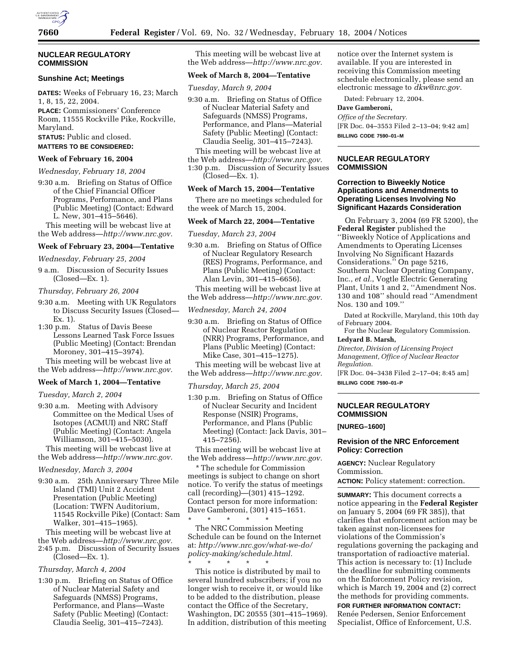

## **NUCLEAR REGULATORY COMMISSION**

## **Sunshine Act; Meetings**

**DATES:** Weeks of February 16, 23; March 1, 8, 15, 22, 2004. **PLACE:** Commissioners' Conference

Room, 11555 Rockville Pike, Rockville, Maryland.

**STATUS:** Public and closed.

# **MATTERS TO BE CONSIDERED:**

## **Week of February 16, 2004**

*Wednesday, February 18, 2004*

9:30 a.m. Briefing on Status of Office of the Chief Financial Officer Programs, Performance, and Plans (Public Meeting) (Contact: Edward L. New, 301–415–5646).

This meeting will be webcast live at the Web address—*http://www.nrc.gov.*

## **Week of February 23, 2004—Tentative**

*Wednesday, February 25, 2004*

9 a.m. Discussion of Security Issues (Closed—Ex. 1).

#### *Thursday, February 26, 2004*

9:30 a.m. Meeting with UK Regulators to Discuss Security Issues (Closed— Ex. 1).

1:30 p.m. Status of Davis Beese Lessons Learned Task Force Issues (Public Meeting) (Contact: Brendan Moroney, 301–415–3974).

This meeting will be webcast live at the Web address—*http://www.nrc.gov.*

## **Week of March 1, 2004—Tentative**

*Tuesday, March 2, 2004*

9:30 a.m. Meeting with Advisory Committee on the Medical Uses of Isotopes (ACMUI) and NRC Staff (Public Meeting) (Contact: Angela Williamson, 301–415–5030). This meeting will be webcast live at

the Web address—*http://www.nrc.gov.*

#### *Wednesday, March 3, 2004*

9:30 a.m. 25th Anniversary Three Mile Island (TMI) Unit 2 Accident Presentation (Public Meeting) (Location: TWFN Auditorium, 11545 Rockville Pike) (Contact: Sam Walker, 301–415–1965).

This meeting will be webcast live at the Web address—*http://www.nrc.gov.*

2:45 p.m. Discussion of Security Issues (Closed—Ex. 1).

# *Thursday, March 4, 2004*

1:30 p.m. Briefing on Status of Office of Nuclear Material Safety and Safeguards (NMSS) Programs, Performance, and Plans—Waste Safety (Public Meeting) (Contact: Claudia Seelig, 301–415–7243).

This meeting will be webcast live at the Web address—*http://www.nrc.gov.*

### **Week of March 8, 2004—Tentative**

*Tuesday, March 9, 2004*

- 9:30 a.m. Briefing on Status of Office of Nuclear Material Safety and Safeguards (NMSS) Programs, Performance, and Plans—Material Safety (Public Meeting) (Contact: Claudia Seelig, 301–415–7243).
- This meeting will be webcast live at
- the Web address—*http://www.nrc.gov.*
- 1:30 p.m. Discussion of Security Issues
- (Closed—Ex. 1).

# **Week of March 15, 2004—Tentative**

There are no meetings scheduled for the week of March 15, 2004.

#### **Week of March 22, 2004—Tentative**

*Tuesday, March 23, 2004*

- 9:30 a.m. Briefing on Status of Office of Nuclear Regulatory Research (RES) Programs, Performance, and Plans (Public Meeting) (Contact: Alan Levin, 301–415–6656).
- This meeting will be webcast live at the Web address—*http://www.nrc.gov.*

*Wednesday, March 24, 2004*

9:30 a.m. Briefing on Status of Office of Nuclear Reactor Regulation (NRR) Programs, Performance, and Plans (Public Meeting) (Contact: Mike Case, 301–415–1275).

This meeting will be webcast live at the Web address—*http://www.nrc.gov.*

*Thursday, March 25, 2004*

1:30 p.m. Briefing on Status of Office of Nuclear Security and Incident Response (NSIR) Programs, Performance, and Plans (Public Meeting) (Contact: Jack Davis, 301– 415–7256).

This meeting will be webcast live at the Web address—*http://www.nrc.gov.*

\* The schedule for Commission meetings is subject to change on short notice. To verify the status of meetings call (recording)—(301) 415–1292. Contact person for more information: Dave Gamberoni, (301) 415–1651.

\* \* \* \* \* The NRC Commission Meeting Schedule can be found on the Internet at: *http://www.nrc.gov/what-we-do/ policy-making/schedule.html.*

\* \* \* \* \* This notice is distributed by mail to several hundred subscribers; if you no longer wish to receive it, or would like to be added to the distribution, please contact the Office of the Secretary, Washington, DC 20555 (301–415–1969). In addition, distribution of this meeting notice over the Internet system is available. If you are interested in receiving this Commission meeting schedule electronically, please send an electronic message to *dkw@nrc.gov.*

Dated: February 12, 2004.

# **Dave Gamberoni,**

*Office of the Secretary.* [FR Doc. 04–3553 Filed 2–13–04; 9:42 am] **BILLING CODE 7590–01–M**

## **NUCLEAR REGULATORY COMMISSION**

## **Correction to Biweekly Notice Applications and Amendments to Operating Licenses Involving No Significant Hazards Consideration**

On February 3, 2004 (69 FR 5200), the **Federal Register** published the ''Biweekly Notice of Applications and Amendments to Operating Licenses Involving No Significant Hazards Considerations.'' On page 5216, Southern Nuclear Operating Company, Inc., *et al.*, Vogtle Electric Generating Plant, Units 1 and 2, ''Amendment Nos. 130 and 108'' should read ''Amendment Nos. 130 and 109.''

Dated at Rockville, Maryland, this 10th day of February 2004.

For the Nuclear Regulatory Commission. **Ledyard B. Marsh,** 

*Director, Division of Licensing Project Management, Office of Nuclear Reactor Regulation.*

[FR Doc. 04–3438 Filed 2–17–04; 8:45 am] **BILLING CODE 7590–01–P**

## **NUCLEAR REGULATORY COMMISSION**

**[NUREG–1600]** 

## **Revision of the NRC Enforcement Policy: Correction**

**AGENCY:** Nuclear Regulatory Commission. **ACTION:** Policy statement: correction.

**SUMMARY:** This document corrects a notice appearing in the **Federal Register** on January 5, 2004 (69 FR 385)), that clarifies that enforcement action may be taken against non-licensees for violations of the Commission's regulations governing the packaging and transportation of radioactive material. This action is necessary to: (1) Include the deadline for submitting comments on the Enforcement Policy revision, which is March 19, 2004 and (2) correct the methods for providing comments.

**FOR FURTHER INFORMATION CONTACT:** Renée Pedersen, Senior Enforcement Specialist, Office of Enforcement, U.S.